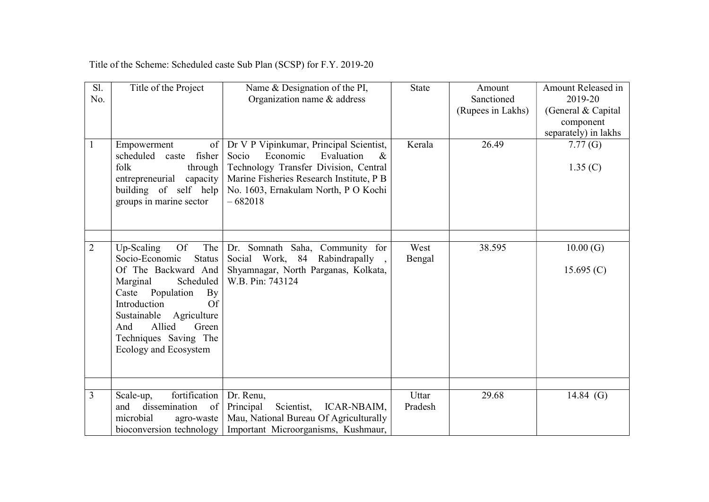| Sl.<br>No.     | Title of the Project                                                                                                                                                                                                                                                                         | Name & Designation of the PI,<br>Organization name & address                                                                                                                                                                 | <b>State</b>     | Amount<br>Sanctioned<br>(Rupees in Lakhs) | Amount Released in<br>2019-20<br>(General & Capital<br>component<br>separately) in lakhs |
|----------------|----------------------------------------------------------------------------------------------------------------------------------------------------------------------------------------------------------------------------------------------------------------------------------------------|------------------------------------------------------------------------------------------------------------------------------------------------------------------------------------------------------------------------------|------------------|-------------------------------------------|------------------------------------------------------------------------------------------|
|                | Empowerment<br>of<br>scheduled caste<br>fisher<br>folk<br>through<br>entrepreneurial<br>capacity<br>building of self help<br>groups in marine sector                                                                                                                                         | Dr V P Vipinkumar, Principal Scientist,<br>Economic<br>Socio<br>Evaluation<br>$\&$<br>Technology Transfer Division, Central<br>Marine Fisheries Research Institute, P B<br>No. 1603, Ernakulam North, P O Kochi<br>$-682018$ | Kerala           | 26.49                                     | 7.77(G)<br>1.35(C)                                                                       |
| $\overline{2}$ | Up-Scaling<br><b>Of</b><br>The<br>Socio-Economic<br><b>Status</b><br>Of The Backward And<br>Scheduled<br>Marginal<br>Caste Population<br>$\mathbf{B}\mathbf{v}$<br>Introduction<br>Of<br>Sustainable Agriculture<br>Allied<br>And<br>Green<br>Techniques Saving The<br>Ecology and Ecosystem | Dr. Somnath Saha, Community for<br>Social Work, 84 Rabindrapally,<br>Shyamnagar, North Parganas, Kolkata,<br>W.B. Pin: 743124                                                                                                | West<br>Bengal   | 38.595                                    | 10.00(G)<br>15.695 $(C)$                                                                 |
| $\overline{3}$ | fortification<br>Scale-up,<br>dissemination<br>and<br>of<br>microbial<br>agro-waste<br>bioconversion technology                                                                                                                                                                              | Dr. Renu,<br>Principal<br>Scientist,<br>ICAR-NBAIM,<br>Mau, National Bureau Of Agriculturally<br>Important Microorganisms, Kushmaur,                                                                                         | Uttar<br>Pradesh | 29.68                                     | 14.84 $(G)$                                                                              |

Title of the Scheme: Scheduled caste Sub Plan (SCSP) for F.Y. 2019-20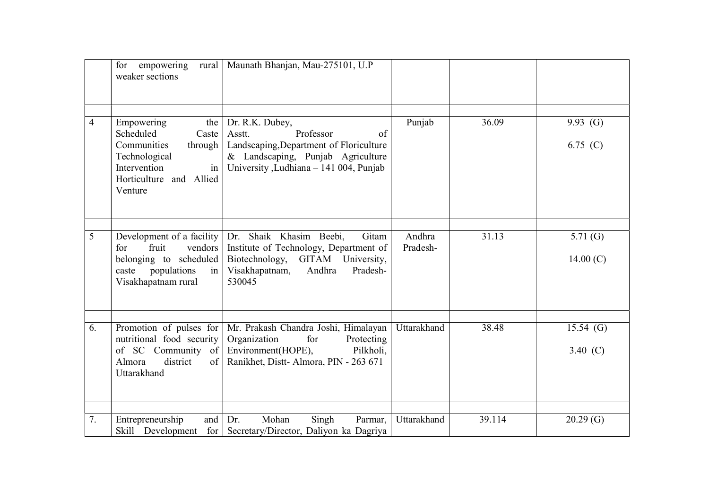|    | for<br>empowering<br>rural  <br>weaker sections                                                                                                | Maunath Bhanjan, Mau-275101, U.P                                                                                                                                        |                    |        |                           |
|----|------------------------------------------------------------------------------------------------------------------------------------------------|-------------------------------------------------------------------------------------------------------------------------------------------------------------------------|--------------------|--------|---------------------------|
| 4  | Empowering<br>the<br>Scheduled<br>Caste<br>Communities<br>through<br>Technological<br>in<br>Intervention<br>Horticulture and Allied<br>Venture | Dr. R.K. Dubey,<br>Professor<br>of<br>Asstt.<br>Landscaping, Department of Floriculture<br>& Landscaping, Punjab Agriculture<br>University , Ludhiana - 141 004, Punjab | Punjab             | 36.09  | 9.93 $(G)$<br>6.75 (C)    |
| 5  | Development of a facility<br>fruit<br>vendors<br>for<br>belonging to scheduled<br>populations<br>caste<br>in<br>Visakhapatnam rural            | Shaik Khasim Beebi,<br>Gitam<br>Dr.<br>Institute of Technology, Department of<br>Biotechnology, GITAM University,<br>Andhra<br>Visakhapatnam,<br>Pradesh-<br>530045     | Andhra<br>Pradesh- | 31.13  | 5.71 $(G)$<br>14.00 $(C)$ |
| 6. | Promotion of pulses for<br>nutritional food security<br>of SC Community of<br>Almora<br>district<br>of<br>Uttarakhand                          | Mr. Prakash Chandra Joshi, Himalayan<br>Organization<br>for<br>Protecting<br>Pilkholi,<br>Environment(HOPE),<br>Ranikhet, Distt-Almora, PIN - 263 671                   | Uttarakhand        | 38.48  | $15.54$ (G)<br>3.40 $(C)$ |
|    |                                                                                                                                                |                                                                                                                                                                         |                    |        |                           |
| 7. | Entrepreneurship<br>and                                                                                                                        | Dr.<br>Mohan<br>Singh<br>Parmar,<br>Skill Development for Secretary/Director, Daliyon ka Dagriya                                                                        | Uttarakhand        | 39.114 | 20.29(G)                  |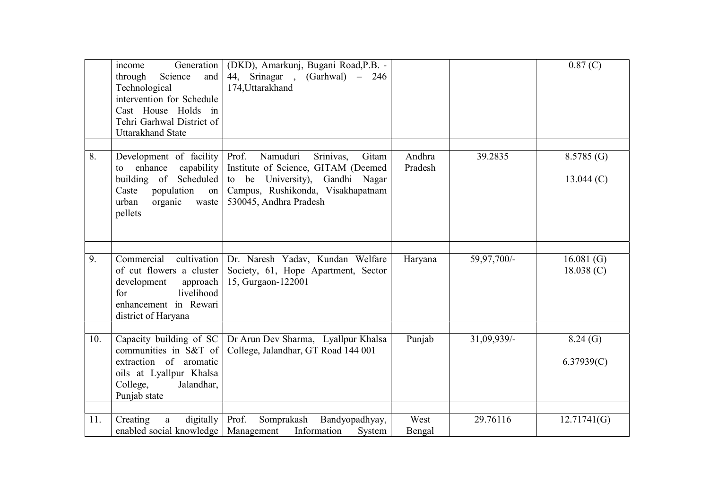|     | Generation<br>income<br>Science<br>and<br>through<br>Technological<br>intervention for Schedule<br>Cast House Holds in<br>Tehri Garhwal District of<br><b>Uttarakhand State</b> | (DKD), Amarkunj, Bugani Road, P.B. -<br>44, Srinagar , (Garhwal) – 246<br>174, Uttarakhand                                                                                       |                   |             | 0.87(C)                   |
|-----|---------------------------------------------------------------------------------------------------------------------------------------------------------------------------------|----------------------------------------------------------------------------------------------------------------------------------------------------------------------------------|-------------------|-------------|---------------------------|
| 8.  | Development of facility<br>enhance<br>capability<br>to<br>building of Scheduled<br>Caste<br>population<br>on<br>urban<br>organic<br>waste<br>pellets                            | Prof.<br>Namuduri<br>Srinivas,<br>Gitam<br>Institute of Science, GITAM (Deemed<br>to be University), Gandhi Nagar<br>Campus, Rushikonda, Visakhapatnam<br>530045, Andhra Pradesh | Andhra<br>Pradesh | 39.2835     | 8.5785(G)<br>13.044(C)    |
| 9.  | Commercial<br>cultivation<br>of cut flowers a cluster<br>development<br>approach<br>livelihood<br>for<br>enhancement in Rewari<br>district of Haryana                           | Dr. Naresh Yadav, Kundan Welfare<br>Society, 61, Hope Apartment, Sector<br>15, Gurgaon-122001                                                                                    | Haryana           | 59,97,700/- | 16.081 $(G)$<br>18.038(C) |
| 10. | Capacity building of SC<br>communities in S&T of<br>extraction of aromatic<br>oils at Lyallpur Khalsa<br>College,<br>Jalandhar,<br>Punjab state                                 | Dr Arun Dev Sharma, Lyallpur Khalsa<br>College, Jalandhar, GT Road 144 001                                                                                                       | Punjab            | 31,09,939/- | 8.24(G)<br>6.37939(C)     |
| 11. | digitally<br>Creating<br>a<br>enabled social knowledge   Management                                                                                                             | Prof.<br>Somprakash<br>Bandyopadhyay,<br>Information<br>System                                                                                                                   | West<br>Bengal    | 29.76116    | 12.71741(G)               |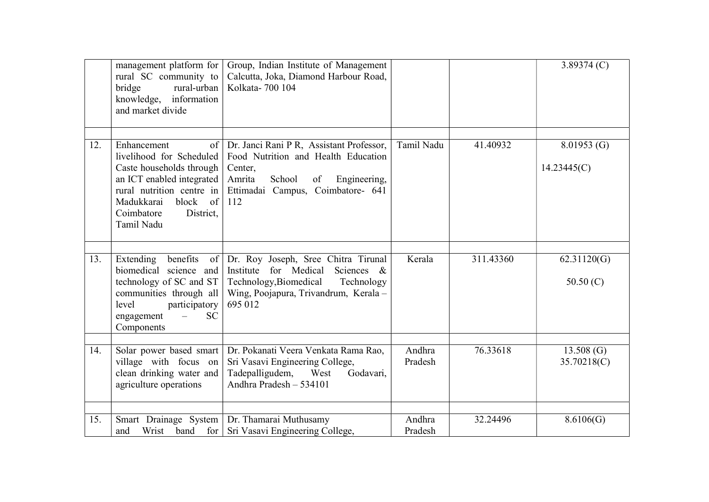|     | management platform for<br>rural SC community to<br>rural-urban<br>bridge<br>knowledge, information<br>and market divide                                                                                  | Group, Indian Institute of Management<br>Calcutta, Joka, Diamond Harbour Road,<br>Kolkata-700 104                                                                                |                   |           | 3.89374 $(C)$              |
|-----|-----------------------------------------------------------------------------------------------------------------------------------------------------------------------------------------------------------|----------------------------------------------------------------------------------------------------------------------------------------------------------------------------------|-------------------|-----------|----------------------------|
| 12. | Enhancement<br>of<br>livelihood for Scheduled<br>Caste households through<br>an ICT enabled integrated<br>rural nutrition centre in<br>block<br>of<br>Madukkarai<br>Coimbatore<br>District.<br>Tamil Nadu | Dr. Janci Rani P R, Assistant Professor,<br>Food Nutrition and Health Education<br>Center,<br>School<br>Engineering,<br>Amrita<br>of<br>Ettimadai Campus, Coimbatore- 641<br>112 | Tamil Nadu        | 41.40932  | 8.01953(G)<br>14.23445(C)  |
| 13. | Extending<br>benefits<br>$\circ$ f<br>biomedical science and<br>technology of SC and ST<br>communities through all<br>level<br>participatory<br><b>SC</b><br>engagement<br>Components                     | Dr. Roy Joseph, Sree Chitra Tirunal<br>for Medical<br>Sciences &<br>Institute<br>Technology, Biomedical<br>Technology<br>Wing, Poojapura, Trivandrum, Kerala-<br>695 012         | Kerala            | 311.43360 | 62.31120(G)<br>50.50 $(C)$ |
| 14. | Solar power based smart<br>village with focus on<br>clean drinking water and<br>agriculture operations                                                                                                    | Dr. Pokanati Veera Venkata Rama Rao,<br>Sri Vasavi Engineering College,<br>Tadepalligudem,<br>West<br>Godavari,<br>Andhra Pradesh - 534101                                       | Andhra<br>Pradesh | 76.33618  | 13.508(G)<br>35.70218(C)   |
| 15. |                                                                                                                                                                                                           | Smart Drainage System Dr. Thamarai Muthusamy                                                                                                                                     | Andhra            | 32.24496  | 8.6106(G)                  |
|     | Wrist<br>and                                                                                                                                                                                              | band for Sri Vasavi Engineering College,                                                                                                                                         | Pradesh           |           |                            |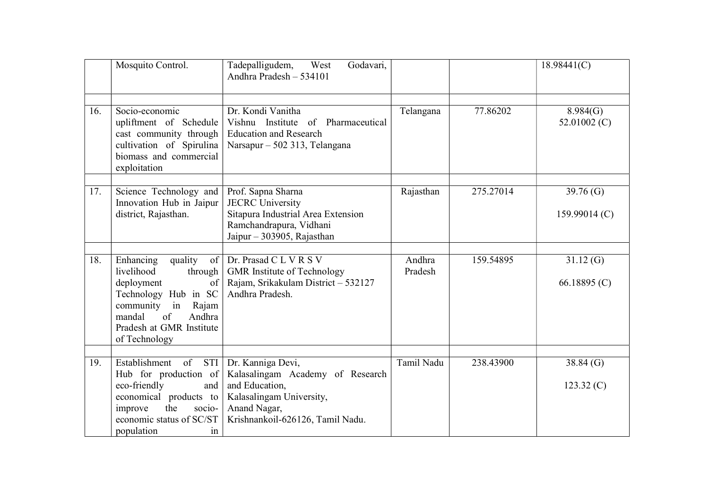|     | Mosquito Control.                                                                                                                                                                                 | Tadepalligudem,<br>Godavari,<br>West<br>Andhra Pradesh - 534101                                                                                         |                   |           | 18.98441(C)                    |
|-----|---------------------------------------------------------------------------------------------------------------------------------------------------------------------------------------------------|---------------------------------------------------------------------------------------------------------------------------------------------------------|-------------------|-----------|--------------------------------|
| 16. | Socio-economic<br>upliftment of Schedule<br>cast community through<br>cultivation of Spirulina<br>biomass and commercial<br>exploitation                                                          | Dr. Kondi Vanitha<br>Vishnu Institute of Pharmaceutical<br><b>Education and Research</b><br>Narsapur – 502 313, Telangana                               | Telangana         | 77.86202  | 8.984(G)<br>52.01002 $(C)$     |
| 17. | Science Technology and<br>Innovation Hub in Jaipur<br>district, Rajasthan.                                                                                                                        | Prof. Sapna Sharna<br><b>JECRC</b> University<br>Sitapura Industrial Area Extension<br>Ramchandrapura, Vidhani<br>Jaipur - 303905, Rajasthan            | Rajasthan         | 275.27014 | 39.76 $(G)$<br>159.99014 $(C)$ |
| 18. | Enhancing<br>quality<br>livelihood<br>through<br>deployment<br>of<br>Technology Hub in SC<br>community in<br>Rajam<br>mandal<br>$\sigma$ f<br>Andhra<br>Pradesh at GMR Institute<br>of Technology | of   Dr. Prasad C L V R S V<br><b>GMR</b> Institute of Technology<br>Rajam, Srikakulam District - 532127<br>Andhra Pradesh.                             | Andhra<br>Pradesh | 159.54895 | 31.12(G)<br>66.18895 $(C)$     |
| 19. | Establishment<br>of<br>STI<br>Hub for production of<br>eco-friendly<br>and<br>economical products to<br>the<br>improve<br>socio-<br>economic status of SC/ST<br>population<br>1n                  | Dr. Kanniga Devi,<br>Kalasalingam Academy of Research<br>and Education,<br>Kalasalingam University,<br>Anand Nagar,<br>Krishnankoil-626126, Tamil Nadu. | Tamil Nadu        | 238.43900 | 38.84(G)<br>123.32(C)          |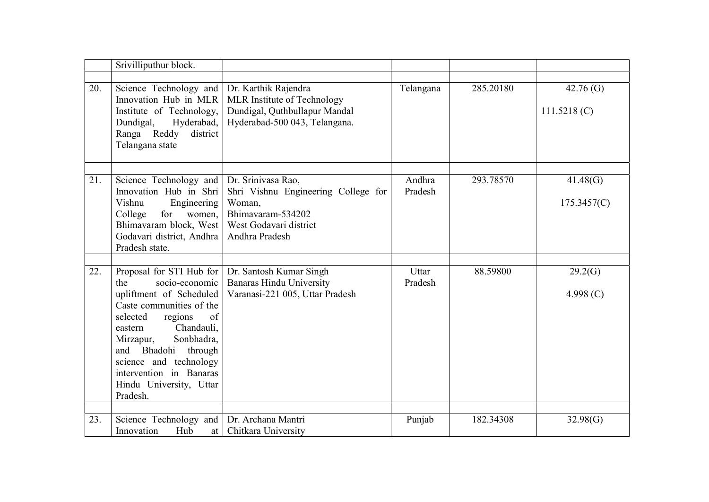|     | Srivilliputhur block.                                                                                                                                                                                                                                                                                           |                                                                                                                                      |                   |           |                            |
|-----|-----------------------------------------------------------------------------------------------------------------------------------------------------------------------------------------------------------------------------------------------------------------------------------------------------------------|--------------------------------------------------------------------------------------------------------------------------------------|-------------------|-----------|----------------------------|
| 20. | Science Technology and<br>Innovation Hub in MLR<br>Institute of Technology,<br>Dundigal,<br>Hyderabad,<br>Ranga Reddy<br>district<br>Telangana state                                                                                                                                                            | Dr. Karthik Rajendra<br>MLR Institute of Technology<br>Dundigal, Quthbullapur Mandal<br>Hyderabad-500 043, Telangana.                | Telangana         | 285.20180 | 42.76 $(G)$<br>111.5218(C) |
| 21. | Science Technology and<br>Innovation Hub in Shri<br>Vishnu<br>Engineering<br>for<br>women,<br>College<br>Bhimavaram block, West<br>Godavari district, Andhra<br>Pradesh state.                                                                                                                                  | Dr. Srinivasa Rao,<br>Shri Vishnu Engineering College for<br>Woman,<br>Bhimavaram-534202<br>West Godavari district<br>Andhra Pradesh | Andhra<br>Pradesh | 293.78570 | 41.48(G)<br>175.3457(C)    |
| 22. | Proposal for STI Hub for<br>socio-economic<br>the<br>upliftment of Scheduled<br>Caste communities of the<br>regions<br>of<br>selected<br>Chandauli,<br>eastern<br>Sonbhadra,<br>Mirzapur,<br>Bhadohi through<br>and<br>science and technology<br>intervention in Banaras<br>Hindu University, Uttar<br>Pradesh. | Dr. Santosh Kumar Singh<br><b>Banaras Hindu University</b><br>Varanasi-221 005, Uttar Pradesh                                        | Uttar<br>Pradesh  | 88.59800  | 29.2(G)<br>4.998 $(C)$     |
| 23. | Science Technology and<br>Innovation<br>Hub<br>at                                                                                                                                                                                                                                                               | Dr. Archana Mantri<br>Chitkara University                                                                                            | Punjab            | 182.34308 | 32.98(G)                   |